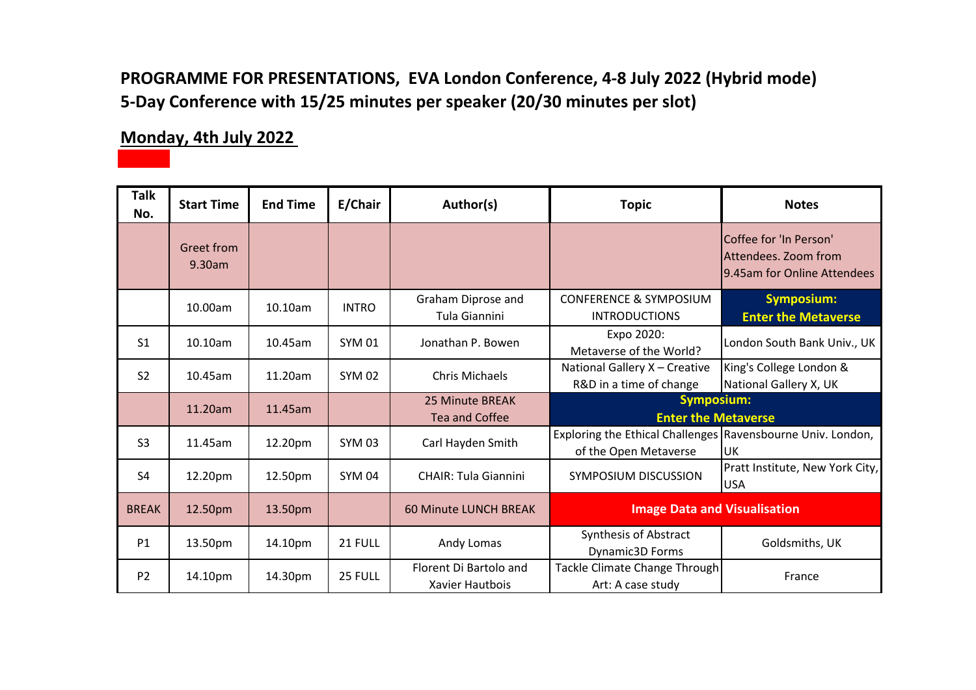#### **PROGRAMME FOR PRESENTATIONS, EVA London Conference, 4-8 July 2022 (Hybrid mode) 5-Day Conference with 15/25 minutes per speaker (20/30 minutes per slot)**

#### **Monday, 4th July 2022**

| <b>Talk</b><br>No. | <b>Start Time</b>           | <b>End Time</b> | E/Chair       | Author(s)                                 | <b>Topic</b>                                                                         | <b>Notes</b>                                                                   |
|--------------------|-----------------------------|-----------------|---------------|-------------------------------------------|--------------------------------------------------------------------------------------|--------------------------------------------------------------------------------|
|                    | <b>Greet from</b><br>9.30am |                 |               |                                           |                                                                                      | Coffee for 'In Person'<br>Attendees. Zoom from<br>19.45am for Online Attendees |
|                    | 10.00am                     | 10.10am         | <b>INTRO</b>  | Graham Diprose and<br>Tula Giannini       | <b>CONFERENCE &amp; SYMPOSIUM</b><br><b>INTRODUCTIONS</b>                            | <b>Symposium:</b><br><b>Enter the Metaverse</b>                                |
| S <sub>1</sub>     | 10.10am                     | 10.45am         | <b>SYM 01</b> | Jonathan P. Bowen                         | Expo 2020:<br>Metaverse of the World?                                                | London South Bank Univ., UK                                                    |
| S <sub>2</sub>     | 10.45am                     | 11.20am         | <b>SYM 02</b> | Chris Michaels                            | National Gallery X - Creative<br>R&D in a time of change                             | King's College London &<br>National Gallery X, UK                              |
|                    | 11.20am                     | 11.45am         |               | 25 Minute BREAK<br><b>Tea and Coffee</b>  | <b>Symposium:</b><br><b>Enter the Metaverse</b>                                      |                                                                                |
| S <sub>3</sub>     | 11.45am                     | 12.20pm         | <b>SYM 03</b> | Carl Hayden Smith                         | Exploring the Ethical Challenges Ravensbourne Univ. London,<br>of the Open Metaverse | <b>UK</b>                                                                      |
| S4                 | 12.20pm                     | 12.50pm         | <b>SYM 04</b> | <b>CHAIR: Tula Giannini</b>               | SYMPOSIUM DISCUSSION                                                                 | Pratt Institute, New York City,<br><b>USA</b>                                  |
| <b>BREAK</b>       | 12.50pm                     | 13.50pm         |               | <b>60 Minute LUNCH BREAK</b>              | <b>Image Data and Visualisation</b>                                                  |                                                                                |
| P1                 | 13.50pm                     | 14.10pm         | 21 FULL       | Andy Lomas                                | Synthesis of Abstract<br><b>Dynamic3D Forms</b>                                      | Goldsmiths, UK                                                                 |
| P <sub>2</sub>     | 14.10pm                     | 14.30pm         | 25 FULL       | Florent Di Bartolo and<br>Xavier Hautbois | Tackle Climate Change Through<br>Art: A case study                                   | France                                                                         |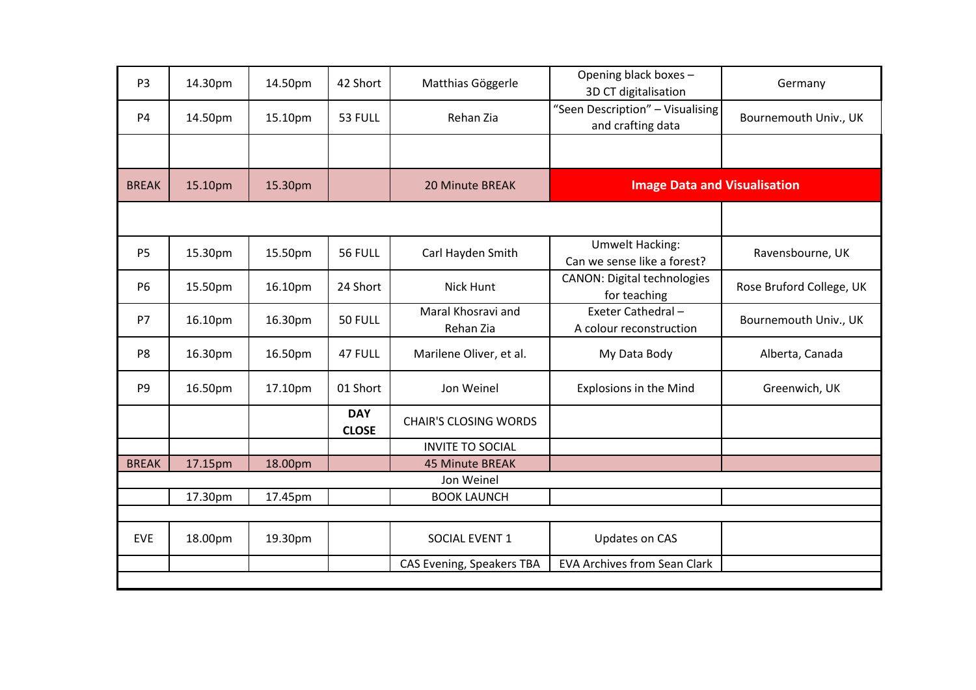| P <sub>3</sub> | 14.30pm | 14.50pm | 42 Short                   | Matthias Göggerle               | Opening black boxes -<br>3D CT digitalisation         | Germany                  |
|----------------|---------|---------|----------------------------|---------------------------------|-------------------------------------------------------|--------------------------|
| <b>P4</b>      | 14.50pm | 15.10pm | 53 FULL                    | Rehan Zia                       | "Seen Description" - Visualising<br>and crafting data | Bournemouth Univ., UK    |
|                |         |         |                            |                                 |                                                       |                          |
| <b>BREAK</b>   | 15.10pm | 15.30pm |                            | 20 Minute BREAK                 | <b>Image Data and Visualisation</b>                   |                          |
|                |         |         |                            |                                 |                                                       |                          |
| <b>P5</b>      | 15.30pm | 15.50pm | 56 FULL                    | Carl Hayden Smith               | <b>Umwelt Hacking:</b><br>Can we sense like a forest? | Ravensbourne, UK         |
| <b>P6</b>      | 15.50pm | 16.10pm | 24 Short                   | <b>Nick Hunt</b>                | <b>CANON: Digital technologies</b><br>for teaching    | Rose Bruford College, UK |
| P7             | 16.10pm | 16.30pm | 50 FULL                    | Maral Khosravi and<br>Rehan Zia | Exeter Cathedral-<br>A colour reconstruction          | Bournemouth Univ., UK    |
| P <sub>8</sub> | 16.30pm | 16.50pm | 47 FULL                    | Marilene Oliver, et al.         | My Data Body                                          | Alberta, Canada          |
| P <sub>9</sub> | 16.50pm | 17.10pm | 01 Short                   | Jon Weinel                      | <b>Explosions in the Mind</b>                         | Greenwich, UK            |
|                |         |         | <b>DAY</b><br><b>CLOSE</b> | <b>CHAIR'S CLOSING WORDS</b>    |                                                       |                          |
|                |         |         |                            | <b>INVITE TO SOCIAL</b>         |                                                       |                          |
| <b>BREAK</b>   | 17.15pm | 18.00pm |                            | <b>45 Minute BREAK</b>          |                                                       |                          |
|                |         |         |                            | Jon Weinel                      |                                                       |                          |
|                | 17.30pm | 17.45pm |                            | <b>BOOK LAUNCH</b>              |                                                       |                          |
|                |         |         |                            |                                 |                                                       |                          |
| <b>EVE</b>     | 18.00pm | 19.30pm |                            | SOCIAL EVENT 1                  | Updates on CAS                                        |                          |
|                |         |         |                            | CAS Evening, Speakers TBA       | <b>EVA Archives from Sean Clark</b>                   |                          |
|                |         |         |                            |                                 |                                                       |                          |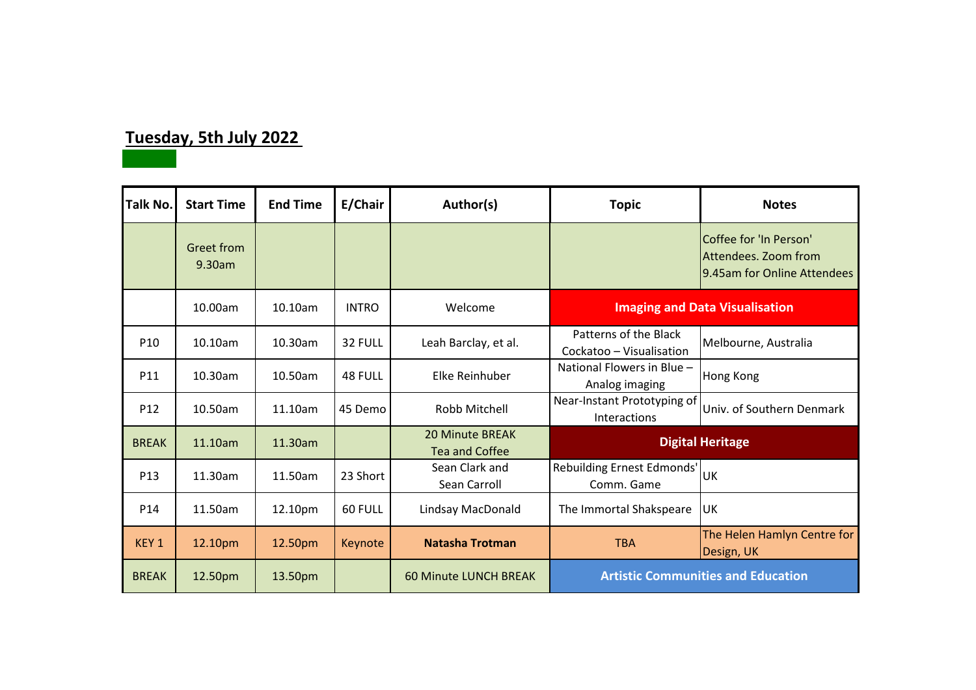## **Tuesday, 5th July 2022**

| <b>Talk No.</b>  | <b>Start Time</b>           | <b>End Time</b> | E/Chair      | Author(s)                                       | <b>Topic</b>                                      | <b>Notes</b>                                                                  |
|------------------|-----------------------------|-----------------|--------------|-------------------------------------------------|---------------------------------------------------|-------------------------------------------------------------------------------|
|                  | <b>Greet from</b><br>9.30am |                 |              |                                                 |                                                   | Coffee for 'In Person'<br>Attendees. Zoom from<br>9.45am for Online Attendees |
|                  | 10.00am                     | 10.10am         | <b>INTRO</b> | Welcome                                         | <b>Imaging and Data Visualisation</b>             |                                                                               |
| P <sub>10</sub>  | 10.10am                     | 10.30am         | 32 FULL      | Leah Barclay, et al.                            | Patterns of the Black<br>Cockatoo - Visualisation | Melbourne, Australia                                                          |
| P11              | 10.30am                     | 10.50am         | 48 FULL      | Elke Reinhuber                                  | National Flowers in Blue -<br>Analog imaging      | <b>Hong Kong</b>                                                              |
| P <sub>12</sub>  | 10.50am                     | 11.10am         | 45 Demo      | Robb Mitchell                                   | Near-Instant Prototyping of<br>Interactions       | Univ. of Southern Denmark                                                     |
| <b>BREAK</b>     | 11.10am                     | 11.30am         |              | <b>20 Minute BREAK</b><br><b>Tea and Coffee</b> |                                                   | <b>Digital Heritage</b>                                                       |
| P <sub>13</sub>  | 11.30am                     | 11.50am         | 23 Short     | Sean Clark and<br>Sean Carroll                  | Rebuilding Ernest Edmonds'<br>Comm. Game          | luк                                                                           |
| P14              | 11.50am                     | 12.10pm         | 60 FULL      | Lindsay MacDonald                               | The Immortal Shakspeare                           | UK                                                                            |
| KEY <sub>1</sub> | 12.10pm                     | 12.50pm         | Keynote      | <b>Natasha Trotman</b>                          | <b>TBA</b>                                        | The Helen Hamlyn Centre for<br>Design, UK                                     |
| <b>BREAK</b>     | 12.50pm                     | 13.50pm         |              | <b>60 Minute LUNCH BREAK</b>                    |                                                   | <b>Artistic Communities and Education</b>                                     |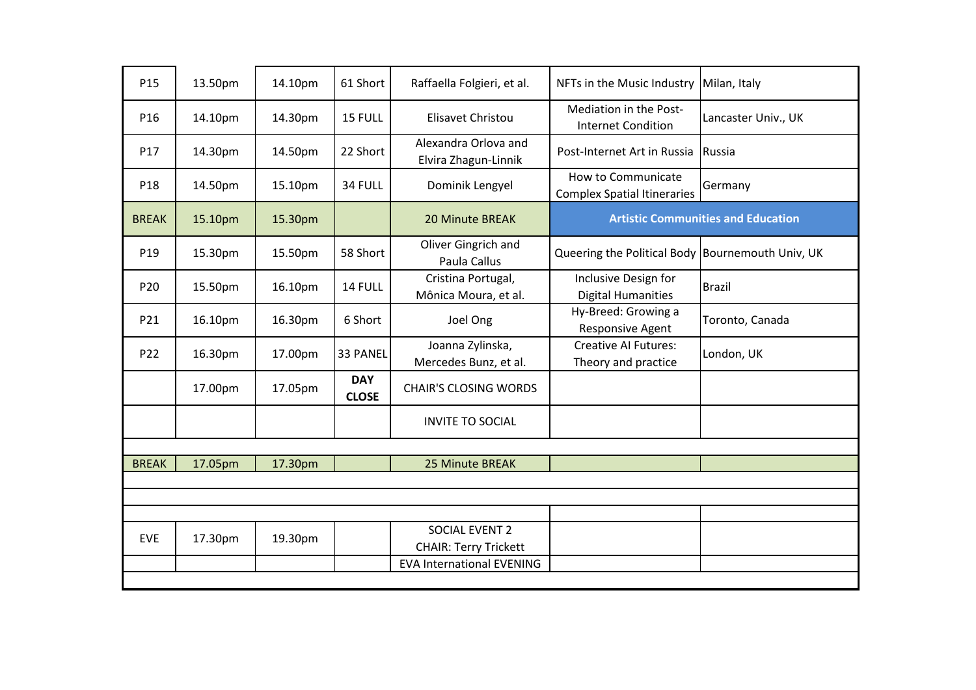| P15          | 13.50pm | 14.10pm | 61 Short                   | Raffaella Folgieri, et al.                   | NFTs in the Music Industry                               | Milan, Italy                              |
|--------------|---------|---------|----------------------------|----------------------------------------------|----------------------------------------------------------|-------------------------------------------|
| P16          | 14.10pm | 14.30pm | 15 FULL                    | Elisavet Christou                            | Mediation in the Post-<br><b>Internet Condition</b>      | Lancaster Univ., UK                       |
| P17          | 14.30pm | 14.50pm | 22 Short                   | Alexandra Orlova and<br>Elvira Zhagun-Linnik | Post-Internet Art in Russia                              | Russia                                    |
| P18          | 14.50pm | 15.10pm | 34 FULL                    | Dominik Lengyel                              | How to Communicate<br><b>Complex Spatial Itineraries</b> | Germany                                   |
| <b>BREAK</b> | 15.10pm | 15.30pm |                            | <b>20 Minute BREAK</b>                       |                                                          | <b>Artistic Communities and Education</b> |
| P19          | 15.30pm | 15.50pm | 58 Short                   | Oliver Gingrich and<br>Paula Callus          | Queering the Political Body Bournemouth Univ, UK         |                                           |
| P20          | 15.50pm | 16.10pm | 14 FULL                    | Cristina Portugal,<br>Mônica Moura, et al.   | Inclusive Design for<br><b>Digital Humanities</b>        | <b>Brazil</b>                             |
| P21          | 16.10pm | 16.30pm | 6 Short                    | Joel Ong                                     | Hy-Breed: Growing a<br>Responsive Agent                  | Toronto, Canada                           |
| P22          | 16.30pm | 17.00pm | 33 PANEL                   | Joanna Zylinska,<br>Mercedes Bunz, et al.    | <b>Creative AI Futures:</b><br>Theory and practice       | London, UK                                |
|              | 17.00pm | 17.05pm | <b>DAY</b><br><b>CLOSE</b> | <b>CHAIR'S CLOSING WORDS</b>                 |                                                          |                                           |
|              |         |         |                            | <b>INVITE TO SOCIAL</b>                      |                                                          |                                           |
|              |         |         |                            |                                              |                                                          |                                           |
| <b>BREAK</b> | 17.05pm | 17.30pm |                            | 25 Minute BREAK                              |                                                          |                                           |
|              |         |         |                            |                                              |                                                          |                                           |
|              |         |         |                            |                                              |                                                          |                                           |
| <b>EVE</b>   | 17.30pm | 19.30pm |                            | SOCIAL EVENT 2                               |                                                          |                                           |
|              |         |         |                            | <b>CHAIR: Terry Trickett</b>                 |                                                          |                                           |
|              |         |         |                            | <b>EVA International EVENING</b>             |                                                          |                                           |
|              |         |         |                            |                                              |                                                          |                                           |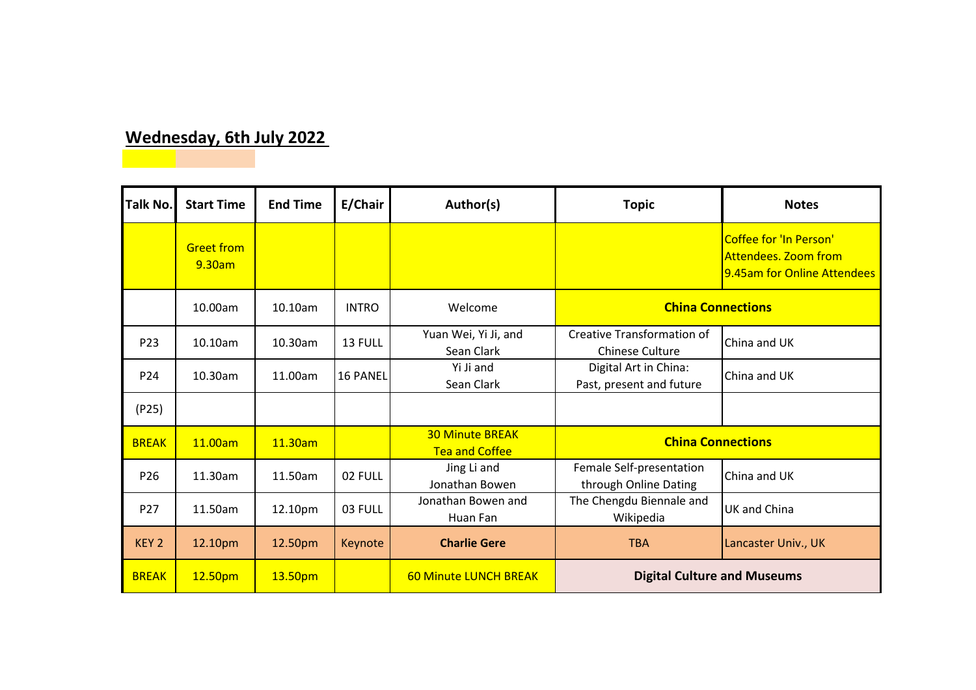## **Wednesday, 6th July 2022**

| <b>Talk No.</b>  | <b>Start Time</b>           | <b>End Time</b> | E/Chair         | Author(s)                                       | <b>Topic</b>                                                | <b>Notes</b>                                                                         |
|------------------|-----------------------------|-----------------|-----------------|-------------------------------------------------|-------------------------------------------------------------|--------------------------------------------------------------------------------------|
|                  | <b>Greet from</b><br>9.30am |                 |                 |                                                 |                                                             | Coffee for 'In Person'<br><b>Attendees. Zoom from</b><br>9.45am for Online Attendees |
|                  | 10.00am                     | 10.10am         | <b>INTRO</b>    | Welcome                                         | <b>China Connections</b>                                    |                                                                                      |
| P <sub>23</sub>  | 10.10am                     | 10.30am         | 13 FULL         | Yuan Wei, Yi Ji, and<br>Sean Clark              | <b>Creative Transformation of</b><br><b>Chinese Culture</b> | <b>China and UK</b>                                                                  |
| P <sub>24</sub>  | 10.30am                     | 11.00am         | <b>16 PANEL</b> | Yi Ji and<br>Sean Clark                         | Digital Art in China:<br>Past, present and future           | China and UK                                                                         |
| (P25)            |                             |                 |                 |                                                 |                                                             |                                                                                      |
| <b>BREAK</b>     | 11.00am                     | 11.30am         |                 | <b>30 Minute BREAK</b><br><b>Tea and Coffee</b> | <b>China Connections</b>                                    |                                                                                      |
| P <sub>26</sub>  | 11.30am                     | 11.50am         | 02 FULL         | Jing Li and<br>Jonathan Bowen                   | Female Self-presentation<br>through Online Dating           | China and UK                                                                         |
| P27              | 11.50am                     | 12.10pm         | 03 FULL         | Jonathan Bowen and<br>Huan Fan                  | The Chengdu Biennale and<br>Wikipedia                       | UK and China                                                                         |
| KEY <sub>2</sub> | 12.10pm                     | 12.50pm         | Keynote         | <b>Charlie Gere</b>                             | <b>TBA</b>                                                  | Lancaster Univ., UK                                                                  |
| <b>BREAK</b>     | 12.50pm                     | 13.50pm         |                 | <b>60 Minute LUNCH BREAK</b>                    | <b>Digital Culture and Museums</b>                          |                                                                                      |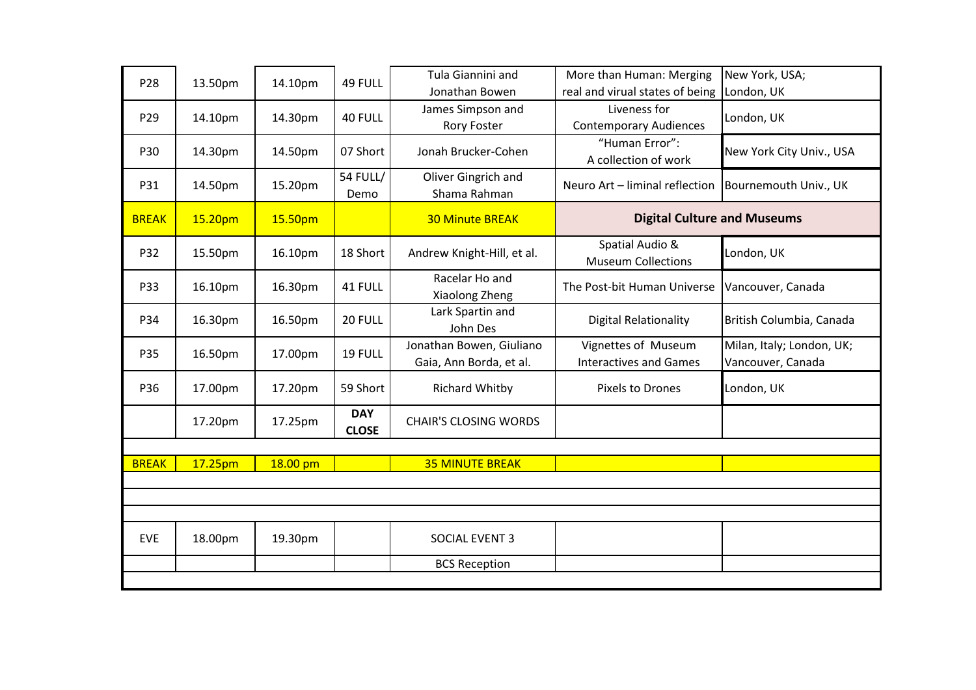| P28          | 13.50pm | 14.10pm  | 49 FULL                    | Tula Giannini and<br>Jonathan Bowen                 | More than Human: Merging<br>real and virual states of being | New York, USA;<br>London, UK                   |
|--------------|---------|----------|----------------------------|-----------------------------------------------------|-------------------------------------------------------------|------------------------------------------------|
| P29          | 14.10pm | 14.30pm  | 40 FULL                    | James Simpson and<br><b>Rory Foster</b>             | Liveness for<br><b>Contemporary Audiences</b>               | London, UK                                     |
| P30          | 14.30pm | 14.50pm  | 07 Short                   | Jonah Brucker-Cohen                                 | "Human Error":<br>A collection of work                      | New York City Univ., USA                       |
| P31          | 14.50pm | 15.20pm  | <b>54 FULL/</b><br>Demo    | Oliver Gingrich and<br>Shama Rahman                 | Neuro Art - liminal reflection                              | Bournemouth Univ., UK                          |
| <b>BREAK</b> | 15.20pm | 15.50pm  |                            | <b>30 Minute BREAK</b>                              | <b>Digital Culture and Museums</b>                          |                                                |
| P32          | 15.50pm | 16.10pm  | 18 Short                   | Andrew Knight-Hill, et al.                          | Spatial Audio &<br><b>Museum Collections</b>                | London, UK                                     |
| P33          | 16.10pm | 16.30pm  | 41 FULL                    | Racelar Ho and<br>Xiaolong Zheng                    | The Post-bit Human Universe                                 | Vancouver, Canada                              |
| P34          | 16.30pm | 16.50pm  | 20 FULL                    | Lark Spartin and<br>John Des                        | <b>Digital Relationality</b>                                | British Columbia, Canada                       |
| P35          | 16.50pm | 17.00pm  | 19 FULL                    | Jonathan Bowen, Giuliano<br>Gaia, Ann Borda, et al. | Vignettes of Museum<br><b>Interactives and Games</b>        | Milan, Italy; London, UK;<br>Vancouver, Canada |
| P36          | 17.00pm | 17.20pm  | 59 Short                   | <b>Richard Whitby</b>                               | Pixels to Drones                                            | London, UK                                     |
|              | 17.20pm | 17.25pm  | <b>DAY</b><br><b>CLOSE</b> | <b>CHAIR'S CLOSING WORDS</b>                        |                                                             |                                                |
|              |         |          |                            |                                                     |                                                             |                                                |
| <b>BREAK</b> | 17.25pm | 18.00 pm |                            | <b>35 MINUTE BREAK</b>                              |                                                             |                                                |
|              |         |          |                            |                                                     |                                                             |                                                |
|              |         |          |                            |                                                     |                                                             |                                                |
| <b>EVE</b>   | 18.00pm | 19.30pm  |                            | SOCIAL EVENT 3                                      |                                                             |                                                |
|              |         |          |                            | <b>BCS Reception</b>                                |                                                             |                                                |
|              |         |          |                            |                                                     |                                                             |                                                |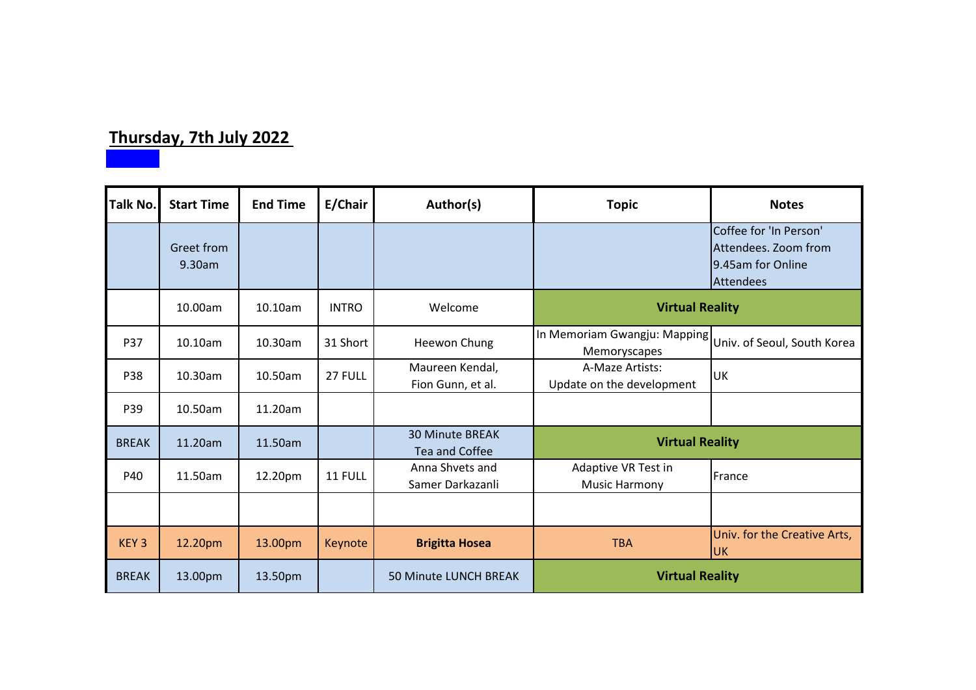# **Thursday, 7th July 2022**

| Talk No.         | <b>Start Time</b>    | <b>End Time</b> | E/Chair      | Author(s)                                       | <b>Topic</b>                                                             | <b>Notes</b>                                                                            |
|------------------|----------------------|-----------------|--------------|-------------------------------------------------|--------------------------------------------------------------------------|-----------------------------------------------------------------------------------------|
|                  | Greet from<br>9.30am |                 |              |                                                 |                                                                          | Coffee for 'In Person'<br>Attendees. Zoom from<br>9.45am for Online<br><b>Attendees</b> |
|                  | 10.00am              | 10.10am         | <b>INTRO</b> | Welcome                                         | <b>Virtual Reality</b>                                                   |                                                                                         |
| P37              | 10.10am              | 10.30am         | 31 Short     | Heewon Chung                                    | In Memoriam Gwangju: Mapping Univ. of Seoul, South Korea<br>Memoryscapes |                                                                                         |
| P38              | 10.30am              | 10.50am         | 27 FULL      | Maureen Kendal,<br>Fion Gunn, et al.            | A-Maze Artists:<br>Update on the development                             | UK                                                                                      |
| P39              | 10.50am              | 11.20am         |              |                                                 |                                                                          |                                                                                         |
| <b>BREAK</b>     | 11.20am              | 11.50am         |              | <b>30 Minute BREAK</b><br><b>Tea and Coffee</b> | <b>Virtual Reality</b>                                                   |                                                                                         |
| P40              | 11.50am              | 12.20pm         | 11 FULL      | Anna Shvets and<br>Samer Darkazanli             | Adaptive VR Test in<br><b>Music Harmony</b>                              | France                                                                                  |
|                  |                      |                 |              |                                                 |                                                                          |                                                                                         |
| KEY <sub>3</sub> | 12.20pm              | 13.00pm         | Keynote      | <b>Brigitta Hosea</b>                           | <b>TBA</b>                                                               | Univ. for the Creative Arts,<br><b>UK</b>                                               |
| <b>BREAK</b>     | 13.00pm              | 13.50pm         |              | 50 Minute LUNCH BREAK                           | <b>Virtual Reality</b>                                                   |                                                                                         |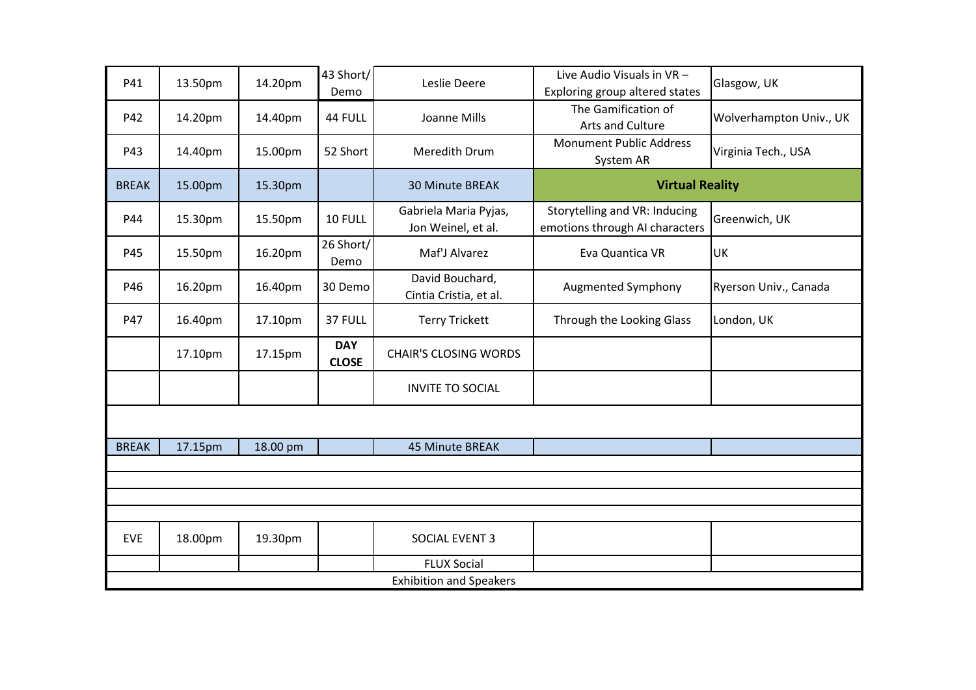| P41          | 13.50pm | 14.20pm  | 43 Short/<br>Demo          | Leslie Deere                                | Live Audio Visuals in VR -<br>Exploring group altered states    | Glasgow, UK             |  |  |  |
|--------------|---------|----------|----------------------------|---------------------------------------------|-----------------------------------------------------------------|-------------------------|--|--|--|
| P42          | 14.20pm | 14.40pm  | 44 FULL                    | Joanne Mills                                | The Gamification of<br>Arts and Culture                         | Wolverhampton Univ., UK |  |  |  |
| P43          | 14.40pm | 15.00pm  | 52 Short                   | Meredith Drum                               | <b>Monument Public Address</b><br>System AR                     | Virginia Tech., USA     |  |  |  |
| <b>BREAK</b> | 15.00pm | 15.30pm  |                            | <b>30 Minute BREAK</b>                      | <b>Virtual Reality</b>                                          |                         |  |  |  |
| P44          | 15.30pm | 15.50pm  | 10 FULL                    | Gabriela Maria Pyjas,<br>Jon Weinel, et al. | Storytelling and VR: Inducing<br>emotions through AI characters | Greenwich, UK           |  |  |  |
| P45          | 15.50pm | 16.20pm  | 26 Short/<br>Demo          | Maf'J Alvarez                               | Eva Quantica VR                                                 | UK                      |  |  |  |
| P46          | 16.20pm | 16.40pm  | 30 Demo                    | David Bouchard,<br>Cintia Cristia, et al.   | Augmented Symphony                                              | Ryerson Univ., Canada   |  |  |  |
| P47          | 16.40pm | 17.10pm  | 37 FULL                    | <b>Terry Trickett</b>                       | Through the Looking Glass                                       | London, UK              |  |  |  |
|              | 17.10pm | 17.15pm  | <b>DAY</b><br><b>CLOSE</b> | <b>CHAIR'S CLOSING WORDS</b>                |                                                                 |                         |  |  |  |
|              |         |          |                            | <b>INVITE TO SOCIAL</b>                     |                                                                 |                         |  |  |  |
|              |         |          |                            |                                             |                                                                 |                         |  |  |  |
| <b>BREAK</b> | 17.15pm | 18.00 pm |                            | 45 Minute BREAK                             |                                                                 |                         |  |  |  |
|              |         |          |                            |                                             |                                                                 |                         |  |  |  |
|              |         |          |                            |                                             |                                                                 |                         |  |  |  |
|              |         |          |                            |                                             |                                                                 |                         |  |  |  |
| <b>EVE</b>   | 18.00pm | 19.30pm  |                            | SOCIAL EVENT 3                              |                                                                 |                         |  |  |  |
|              |         |          |                            | <b>FLUX Social</b>                          |                                                                 |                         |  |  |  |
|              |         |          |                            | <b>Exhibition and Speakers</b>              |                                                                 |                         |  |  |  |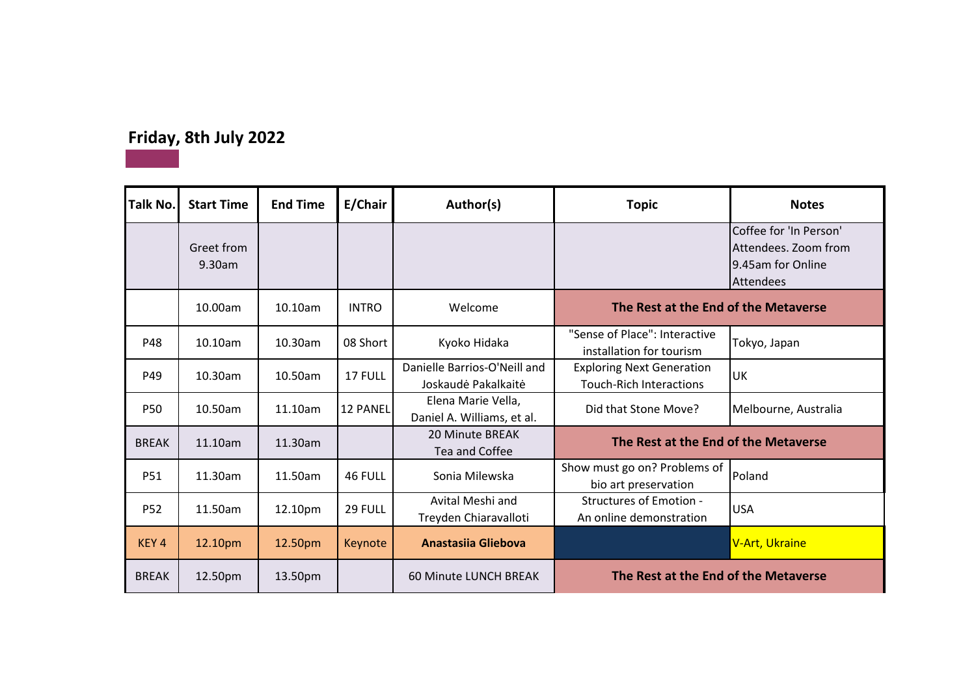## **Friday, 8th July 2022**

| Talk No.         | <b>Start Time</b>    | <b>End Time</b> | E/Chair      | Author(s)                                           | <b>Topic</b>                                                       | <b>Notes</b>                                                                     |
|------------------|----------------------|-----------------|--------------|-----------------------------------------------------|--------------------------------------------------------------------|----------------------------------------------------------------------------------|
|                  | Greet from<br>9.30am |                 |              |                                                     |                                                                    | Coffee for 'In Person'<br>Attendees. Zoom from<br>9.45am for Online<br>Attendees |
|                  | 10.00am              | 10.10am         | <b>INTRO</b> | Welcome                                             | The Rest at the End of the Metaverse                               |                                                                                  |
| P48              | 10.10am              | 10.30am         | 08 Short     | Kyoko Hidaka                                        | "Sense of Place": Interactive<br>installation for tourism          | Tokyo, Japan                                                                     |
| P49              | 10.30am              | $10.50$ am      | 17 FULL      | Danielle Barrios-O'Neill and<br>Joskaudė Pakalkaitė | <b>Exploring Next Generation</b><br><b>Touch-Rich Interactions</b> | UK                                                                               |
| <b>P50</b>       | 10.50am              | 11.10am         | 12 PANEL     | Elena Marie Vella,<br>Daniel A. Williams, et al.    | Did that Stone Move?                                               | Melbourne, Australia                                                             |
| <b>BREAK</b>     | 11.10am              | 11.30am         |              | 20 Minute BREAK<br>Tea and Coffee                   | The Rest at the End of the Metaverse                               |                                                                                  |
| P51              | 11.30am              | 11.50am         | 46 FULL      | Sonia Milewska                                      | Show must go on? Problems of<br>bio art preservation               | Poland                                                                           |
| <b>P52</b>       | 11.50am              | 12.10pm         | 29 FULL      | Avital Meshi and<br>Treyden Chiaravalloti           | <b>Structures of Emotion -</b><br>An online demonstration          | <b>USA</b>                                                                       |
| KEY <sub>4</sub> | 12.10pm              | 12.50pm         | Keynote      | <b>Anastasiia Gliebova</b>                          |                                                                    | V-Art, Ukraine                                                                   |
| <b>BREAK</b>     | 12.50pm              | 13.50pm         |              | 60 Minute LUNCH BREAK                               | The Rest at the End of the Metaverse                               |                                                                                  |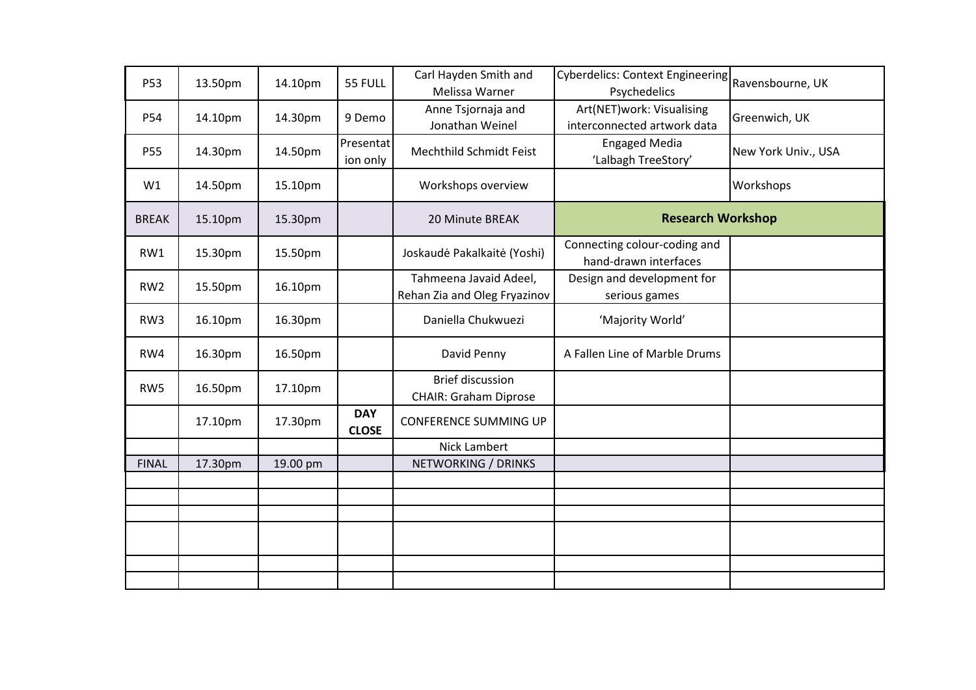| P53             | 13.50pm | 14.10pm  | 55 FULL                    | Carl Hayden Smith and<br>Melissa Warner                 | <b>Cyberdelics: Context Engineering</b><br>Psychedelics  | Ravensbourne, UK    |
|-----------------|---------|----------|----------------------------|---------------------------------------------------------|----------------------------------------------------------|---------------------|
| P54             | 14.10pm | 14.30pm  | 9 Demo                     | Anne Tsjornaja and<br>Jonathan Weinel                   | Art(NET)work: Visualising<br>interconnected artwork data | Greenwich, UK       |
| P55             | 14.30pm | 14.50pm  | Presentat<br>ion only      | Mechthild Schmidt Feist                                 | <b>Engaged Media</b><br>'Lalbagh TreeStory'              | New York Univ., USA |
| W1              | 14.50pm | 15.10pm  |                            | Workshops overview                                      |                                                          | Workshops           |
| <b>BREAK</b>    | 15.10pm | 15.30pm  |                            | 20 Minute BREAK                                         | <b>Research Workshop</b>                                 |                     |
| RW1             | 15.30pm | 15.50pm  |                            | Joskaudė Pakalkaitė (Yoshi)                             | Connecting colour-coding and<br>hand-drawn interfaces    |                     |
| RW <sub>2</sub> | 15.50pm | 16.10pm  |                            | Tahmeena Javaid Adeel,<br>Rehan Zia and Oleg Fryazinov  | Design and development for<br>serious games              |                     |
| RW3             | 16.10pm | 16.30pm  |                            | Daniella Chukwuezi                                      | 'Majority World'                                         |                     |
| RW4             | 16.30pm | 16.50pm  |                            | David Penny                                             | A Fallen Line of Marble Drums                            |                     |
| RW5             | 16.50pm | 17.10pm  |                            | <b>Brief discussion</b><br><b>CHAIR: Graham Diprose</b> |                                                          |                     |
|                 | 17.10pm | 17.30pm  | <b>DAY</b><br><b>CLOSE</b> | <b>CONFERENCE SUMMING UP</b>                            |                                                          |                     |
|                 |         |          |                            | Nick Lambert                                            |                                                          |                     |
| <b>FINAL</b>    | 17.30pm | 19.00 pm |                            | NETWORKING / DRINKS                                     |                                                          |                     |
|                 |         |          |                            |                                                         |                                                          |                     |
|                 |         |          |                            |                                                         |                                                          |                     |
|                 |         |          |                            |                                                         |                                                          |                     |
|                 |         |          |                            |                                                         |                                                          |                     |
|                 |         |          |                            |                                                         |                                                          |                     |
|                 |         |          |                            |                                                         |                                                          |                     |